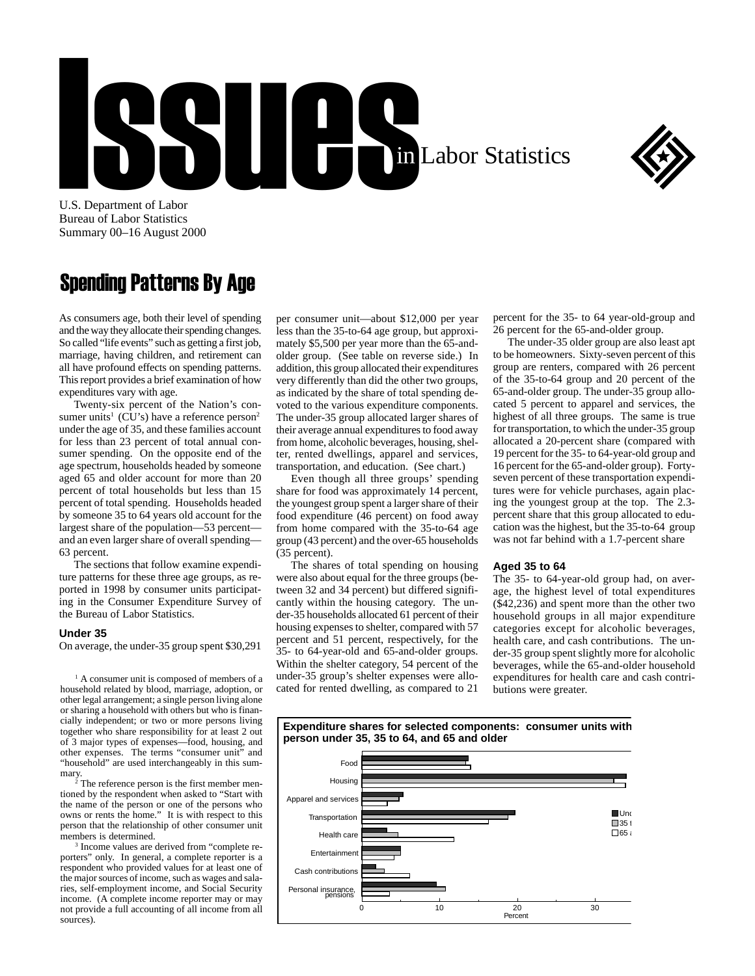# U.S. Department of Labor in Labor Statistics



U.S. Department of Labor Bureau of Labor Statistics Summary 00–16 August 2000

## Spending Patterns By Age

As consumers age, both their level of spending and the way they allocate their spending changes. So called "life events" such as getting a first job, marriage, having children, and retirement can all have profound effects on spending patterns. This report provides a brief examination of how expenditures vary with age.

Twenty-six percent of the Nation's consumer units<sup>1</sup> (CU's) have a reference person<sup>2</sup> under the age of 35, and these families account for less than 23 percent of total annual consumer spending. On the opposite end of the age spectrum, households headed by someone aged 65 and older account for more than 20 percent of total households but less than 15 percent of total spending. Households headed by someone 35 to 64 years old account for the largest share of the population—53 percent and an even larger share of overall spending— 63 percent.

The sections that follow examine expenditure patterns for these three age groups, as reported in 1998 by consumer units participating in the Consumer Expenditure Survey of the Bureau of Labor Statistics.

#### **Under 35**

On average, the under-35 group spent \$30,291

<sup>1</sup> A consumer unit is composed of members of a household related by blood, marriage, adoption, or other legal arrangement; a single person living alone or sharing a household with others but who is financially independent; or two or more persons living together who share responsibility for at least 2 out of 3 major types of expenses—food, housing, and other expenses. The terms "consumer unit" and "household" are used interchangeably in this summary.

2 The reference person is the first member mentioned by the respondent when asked to "Start with the name of the person or one of the persons who owns or rents the home." It is with respect to this person that the relationship of other consumer unit members is determined.

3 Income values are derived from "complete reporters" only. In general, a complete reporter is a respondent who provided values for at least one of the major sources of income, such as wages and salaries, self-employment income, and Social Security income. (A complete income reporter may or may not provide a full accounting of all income from all sources).

per consumer unit—about \$12,000 per year less than the 35-to-64 age group, but approximately \$5,500 per year more than the 65-andolder group. (See table on reverse side.) In addition, this group allocated their expenditures very differently than did the other two groups, as indicated by the share of total spending devoted to the various expenditure components. The under-35 group allocated larger shares of their average annual expenditures to food away from home, alcoholic beverages, housing, shelter, rented dwellings, apparel and services, transportation, and education. (See chart.)

Even though all three groups' spending share for food was approximately 14 percent, the youngest group spent a larger share of their food expenditure (46 percent) on food away from home compared with the 35-to-64 age group (43 percent) and the over-65 households (35 percent).

The shares of total spending on housing were also about equal for the three groups (between 32 and 34 percent) but differed significantly within the housing category. The under-35 households allocated 61 percent of their housing expenses to shelter, compared with 57 percent and 51 percent, respectively, for the 35- to 64-year-old and 65-and-older groups. Within the shelter category, 54 percent of the under-35 group's shelter expenses were allocated for rented dwelling, as compared to 21

percent for the 35- to 64 year-old-group and 26 percent for the 65-and-older group.

The under-35 older group are also least apt to be homeowners. Sixty-seven percent of this group are renters, compared with 26 percent of the 35-to-64 group and 20 percent of the 65-and-older group. The under-35 group allocated 5 percent to apparel and services, the highest of all three groups. The same is true for transportation, to which the under-35 group allocated a 20-percent share (compared with 19 percent for the 35- to 64-year-old group and 16 percent for the 65-and-older group). Fortyseven percent of these transportation expenditures were for vehicle purchases, again placing the youngest group at the top. The 2.3 percent share that this group allocated to education was the highest, but the 35-to-64 group was not far behind with a 1.7-percent share

#### **Aged 35 to 64**

The 35- to 64-year-old group had, on average, the highest level of total expenditures (\$42,236) and spent more than the other two household groups in all major expenditure categories except for alcoholic beverages, health care, and cash contributions. The under-35 group spent slightly more for alcoholic beverages, while the 65-and-older household expenditures for health care and cash contributions were greater.

**Expenditure shares for selected components: consumer units with person under 35, 35 to 64, and 65 and older**